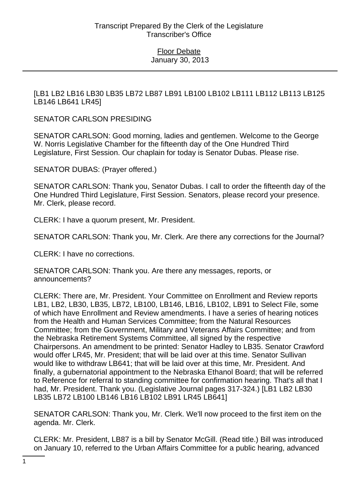[LB1 LB2 LB16 LB30 LB35 LB72 LB87 LB91 LB100 LB102 LB111 LB112 LB113 LB125 LB146 LB641 LR45]

SENATOR CARLSON PRESIDING

SENATOR CARLSON: Good morning, ladies and gentlemen. Welcome to the George W. Norris Legislative Chamber for the fifteenth day of the One Hundred Third Legislature, First Session. Our chaplain for today is Senator Dubas. Please rise.

SENATOR DUBAS: (Prayer offered.)

SENATOR CARLSON: Thank you, Senator Dubas. I call to order the fifteenth day of the One Hundred Third Legislature, First Session. Senators, please record your presence. Mr. Clerk, please record.

CLERK: I have a quorum present, Mr. President.

SENATOR CARLSON: Thank you, Mr. Clerk. Are there any corrections for the Journal?

CLERK: I have no corrections.

SENATOR CARLSON: Thank you. Are there any messages, reports, or announcements?

CLERK: There are, Mr. President. Your Committee on Enrollment and Review reports LB1, LB2, LB30, LB35, LB72, LB100, LB146, LB16, LB102, LB91 to Select File, some of which have Enrollment and Review amendments. I have a series of hearing notices from the Health and Human Services Committee; from the Natural Resources Committee; from the Government, Military and Veterans Affairs Committee; and from the Nebraska Retirement Systems Committee, all signed by the respective Chairpersons. An amendment to be printed: Senator Hadley to LB35. Senator Crawford would offer LR45, Mr. President; that will be laid over at this time. Senator Sullivan would like to withdraw LB641; that will be laid over at this time, Mr. President. And finally, a gubernatorial appointment to the Nebraska Ethanol Board; that will be referred to Reference for referral to standing committee for confirmation hearing. That's all that I had, Mr. President. Thank you. (Legislative Journal pages 317-324.) [LB1 LB2 LB30 LB35 LB72 LB100 LB146 LB16 LB102 LB91 LR45 LB641]

SENATOR CARLSON: Thank you, Mr. Clerk. We'll now proceed to the first item on the agenda. Mr. Clerk.

CLERK: Mr. President, LB87 is a bill by Senator McGill. (Read title.) Bill was introduced on January 10, referred to the Urban Affairs Committee for a public hearing, advanced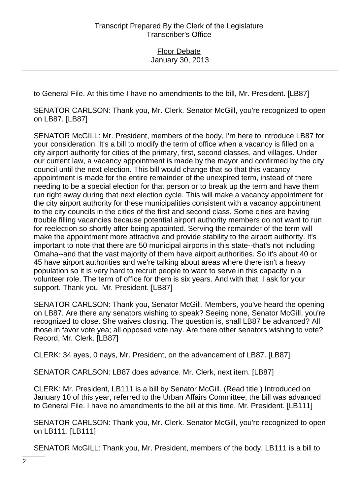to General File. At this time I have no amendments to the bill, Mr. President. [LB87]

SENATOR CARLSON: Thank you, Mr. Clerk. Senator McGill, you're recognized to open on LB87. [LB87]

SENATOR McGILL: Mr. President, members of the body, I'm here to introduce LB87 for your consideration. It's a bill to modify the term of office when a vacancy is filled on a city airport authority for cities of the primary, first, second classes, and villages. Under our current law, a vacancy appointment is made by the mayor and confirmed by the city council until the next election. This bill would change that so that this vacancy appointment is made for the entire remainder of the unexpired term, instead of there needing to be a special election for that person or to break up the term and have them run right away during that next election cycle. This will make a vacancy appointment for the city airport authority for these municipalities consistent with a vacancy appointment to the city councils in the cities of the first and second class. Some cities are having trouble filling vacancies because potential airport authority members do not want to run for reelection so shortly after being appointed. Serving the remainder of the term will make the appointment more attractive and provide stability to the airport authority. It's important to note that there are 50 municipal airports in this state--that's not including Omaha--and that the vast majority of them have airport authorities. So it's about 40 or 45 have airport authorities and we're talking about areas where there isn't a heavy population so it is very hard to recruit people to want to serve in this capacity in a volunteer role. The term of office for them is six years. And with that, I ask for your support. Thank you, Mr. President. [LB87]

SENATOR CARLSON: Thank you, Senator McGill. Members, you've heard the opening on LB87. Are there any senators wishing to speak? Seeing none, Senator McGill, you're recognized to close. She waives closing. The question is, shall LB87 be advanced? All those in favor vote yea; all opposed vote nay. Are there other senators wishing to vote? Record, Mr. Clerk. [LB87]

CLERK: 34 ayes, 0 nays, Mr. President, on the advancement of LB87. [LB87]

SENATOR CARLSON: LB87 does advance. Mr. Clerk, next item. [LB87]

CLERK: Mr. President, LB111 is a bill by Senator McGill. (Read title.) Introduced on January 10 of this year, referred to the Urban Affairs Committee, the bill was advanced to General File. I have no amendments to the bill at this time, Mr. President. [LB111]

SENATOR CARLSON: Thank you, Mr. Clerk. Senator McGill, you're recognized to open on LB111. [LB111]

SENATOR McGILL: Thank you, Mr. President, members of the body. LB111 is a bill to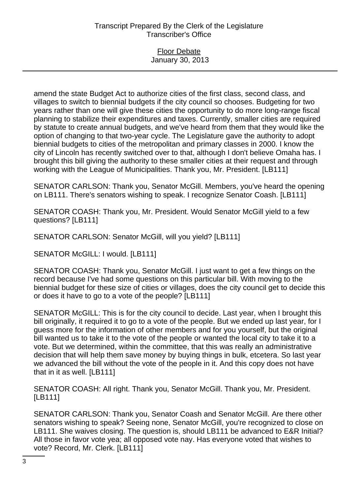# Transcript Prepared By the Clerk of the Legislature Transcriber's Office

### Floor Debate January 30, 2013

amend the state Budget Act to authorize cities of the first class, second class, and villages to switch to biennial budgets if the city council so chooses. Budgeting for two years rather than one will give these cities the opportunity to do more long-range fiscal planning to stabilize their expenditures and taxes. Currently, smaller cities are required by statute to create annual budgets, and we've heard from them that they would like the option of changing to that two-year cycle. The Legislature gave the authority to adopt biennial budgets to cities of the metropolitan and primary classes in 2000. I know the city of Lincoln has recently switched over to that, although I don't believe Omaha has. I brought this bill giving the authority to these smaller cities at their request and through working with the League of Municipalities. Thank you, Mr. President. [LB111]

SENATOR CARLSON: Thank you, Senator McGill. Members, you've heard the opening on LB111. There's senators wishing to speak. I recognize Senator Coash. [LB111]

SENATOR COASH: Thank you, Mr. President. Would Senator McGill yield to a few questions? [LB111]

SENATOR CARLSON: Senator McGill, will you yield? [LB111]

SENATOR McGILL: I would. [LB111]

SENATOR COASH: Thank you, Senator McGill. I just want to get a few things on the record because I've had some questions on this particular bill. With moving to the biennial budget for these size of cities or villages, does the city council get to decide this or does it have to go to a vote of the people? [LB111]

SENATOR McGILL: This is for the city council to decide. Last year, when I brought this bill originally, it required it to go to a vote of the people. But we ended up last year, for I guess more for the information of other members and for you yourself, but the original bill wanted us to take it to the vote of the people or wanted the local city to take it to a vote. But we determined, within the committee, that this was really an administrative decision that will help them save money by buying things in bulk, etcetera. So last year we advanced the bill without the vote of the people in it. And this copy does not have that in it as well. [LB111]

SENATOR COASH: All right. Thank you, Senator McGill. Thank you, Mr. President. [LB111]

SENATOR CARLSON: Thank you, Senator Coash and Senator McGill. Are there other senators wishing to speak? Seeing none, Senator McGill, you're recognized to close on LB111. She waives closing. The question is, should LB111 be advanced to E&R Initial? All those in favor vote yea; all opposed vote nay. Has everyone voted that wishes to vote? Record, Mr. Clerk. [LB111]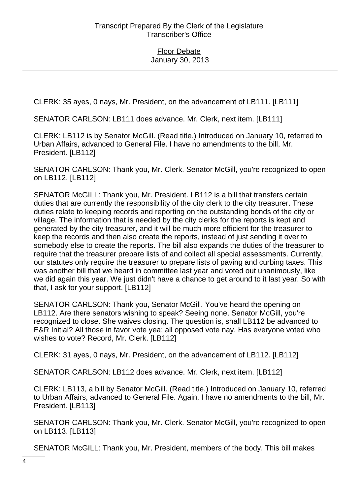CLERK: 35 ayes, 0 nays, Mr. President, on the advancement of LB111. [LB111]

SENATOR CARLSON: LB111 does advance. Mr. Clerk, next item. [LB111]

CLERK: LB112 is by Senator McGill. (Read title.) Introduced on January 10, referred to Urban Affairs, advanced to General File. I have no amendments to the bill, Mr. President. [LB112]

SENATOR CARLSON: Thank you, Mr. Clerk. Senator McGill, you're recognized to open on LB112. [LB112]

SENATOR McGILL: Thank you, Mr. President. LB112 is a bill that transfers certain duties that are currently the responsibility of the city clerk to the city treasurer. These duties relate to keeping records and reporting on the outstanding bonds of the city or village. The information that is needed by the city clerks for the reports is kept and generated by the city treasurer, and it will be much more efficient for the treasurer to keep the records and then also create the reports, instead of just sending it over to somebody else to create the reports. The bill also expands the duties of the treasurer to require that the treasurer prepare lists of and collect all special assessments. Currently, our statutes only require the treasurer to prepare lists of paving and curbing taxes. This was another bill that we heard in committee last year and voted out unanimously, like we did again this year. We just didn't have a chance to get around to it last year. So with that, I ask for your support. [LB112]

SENATOR CARLSON: Thank you, Senator McGill. You've heard the opening on LB112. Are there senators wishing to speak? Seeing none, Senator McGill, you're recognized to close. She waives closing. The question is, shall LB112 be advanced to E&R Initial? All those in favor vote yea; all opposed vote nay. Has everyone voted who wishes to vote? Record, Mr. Clerk. [LB112]

CLERK: 31 ayes, 0 nays, Mr. President, on the advancement of LB112. [LB112]

SENATOR CARLSON: LB112 does advance. Mr. Clerk, next item. [LB112]

CLERK: LB113, a bill by Senator McGill. (Read title.) Introduced on January 10, referred to Urban Affairs, advanced to General File. Again, I have no amendments to the bill, Mr. President. [LB113]

SENATOR CARLSON: Thank you, Mr. Clerk. Senator McGill, you're recognized to open on LB113. [LB113]

SENATOR McGILL: Thank you, Mr. President, members of the body. This bill makes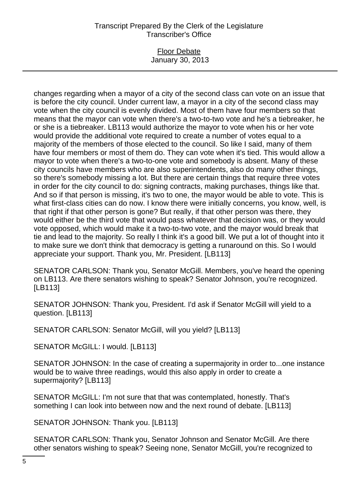## Transcript Prepared By the Clerk of the Legislature Transcriber's Office

### Floor Debate January 30, 2013

changes regarding when a mayor of a city of the second class can vote on an issue that is before the city council. Under current law, a mayor in a city of the second class may vote when the city council is evenly divided. Most of them have four members so that means that the mayor can vote when there's a two-to-two vote and he's a tiebreaker, he or she is a tiebreaker. LB113 would authorize the mayor to vote when his or her vote would provide the additional vote required to create a number of votes equal to a majority of the members of those elected to the council. So like I said, many of them have four members or most of them do. They can vote when it's tied. This would allow a mayor to vote when there's a two-to-one vote and somebody is absent. Many of these city councils have members who are also superintendents, also do many other things, so there's somebody missing a lot. But there are certain things that require three votes in order for the city council to do: signing contracts, making purchases, things like that. And so if that person is missing, it's two to one, the mayor would be able to vote. This is what first-class cities can do now. I know there were initially concerns, you know, well, is that right if that other person is gone? But really, if that other person was there, they would either be the third vote that would pass whatever that decision was, or they would vote opposed, which would make it a two-to-two vote, and the mayor would break that tie and lead to the majority. So really I think it's a good bill. We put a lot of thought into it to make sure we don't think that democracy is getting a runaround on this. So I would appreciate your support. Thank you, Mr. President. [LB113]

SENATOR CARLSON: Thank you, Senator McGill. Members, you've heard the opening on LB113. Are there senators wishing to speak? Senator Johnson, you're recognized. [LB113]

SENATOR JOHNSON: Thank you, President. I'd ask if Senator McGill will yield to a question. [LB113]

SENATOR CARLSON: Senator McGill, will you yield? [LB113]

SENATOR McGILL: I would. [LB113]

SENATOR JOHNSON: In the case of creating a supermajority in order to...one instance would be to waive three readings, would this also apply in order to create a supermajority? [LB113]

SENATOR McGILL: I'm not sure that that was contemplated, honestly. That's something I can look into between now and the next round of debate. [LB113]

SENATOR JOHNSON: Thank you. [LB113]

SENATOR CARLSON: Thank you, Senator Johnson and Senator McGill. Are there other senators wishing to speak? Seeing none, Senator McGill, you're recognized to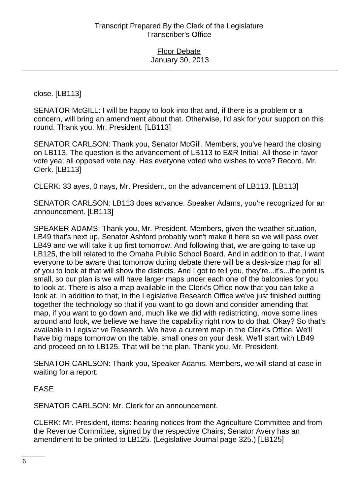close. [LB113]

SENATOR McGILL: I will be happy to look into that and, if there is a problem or a concern, will bring an amendment about that. Otherwise, I'd ask for your support on this round. Thank you, Mr. President. [LB113]

SENATOR CARLSON: Thank you, Senator McGill. Members, you've heard the closing on LB113. The question is the advancement of LB113 to E&R Initial. All those in favor vote yea; all opposed vote nay. Has everyone voted who wishes to vote? Record, Mr. Clerk. [LB113]

CLERK: 33 ayes, 0 nays, Mr. President, on the advancement of LB113. [LB113]

SENATOR CARLSON: LB113 does advance. Speaker Adams, you're recognized for an announcement. [LB113]

SPEAKER ADAMS: Thank you, Mr. President. Members, given the weather situation, LB49 that's next up, Senator Ashford probably won't make it here so we will pass over LB49 and we will take it up first tomorrow. And following that, we are going to take up LB125, the bill related to the Omaha Public School Board. And in addition to that, I want everyone to be aware that tomorrow during debate there will be a desk-size map for all of you to look at that will show the districts. And I got to tell you, they're...it's...the print is small, so our plan is we will have larger maps under each one of the balconies for you to look at. There is also a map available in the Clerk's Office now that you can take a look at. In addition to that, in the Legislative Research Office we've just finished putting together the technology so that if you want to go down and consider amending that map, if you want to go down and, much like we did with redistricting, move some lines around and look, we believe we have the capability right now to do that. Okay? So that's available in Legislative Research. We have a current map in the Clerk's Office. We'll have big maps tomorrow on the table, small ones on your desk. We'll start with LB49 and proceed on to LB125. That will be the plan. Thank you, Mr. President.

SENATOR CARLSON: Thank you, Speaker Adams. Members, we will stand at ease in waiting for a report.

EASE

SENATOR CARLSON: Mr. Clerk for an announcement.

CLERK: Mr. President, items: hearing notices from the Agriculture Committee and from the Revenue Committee, signed by the respective Chairs; Senator Avery has an amendment to be printed to LB125. (Legislative Journal page 325.) [LB125]